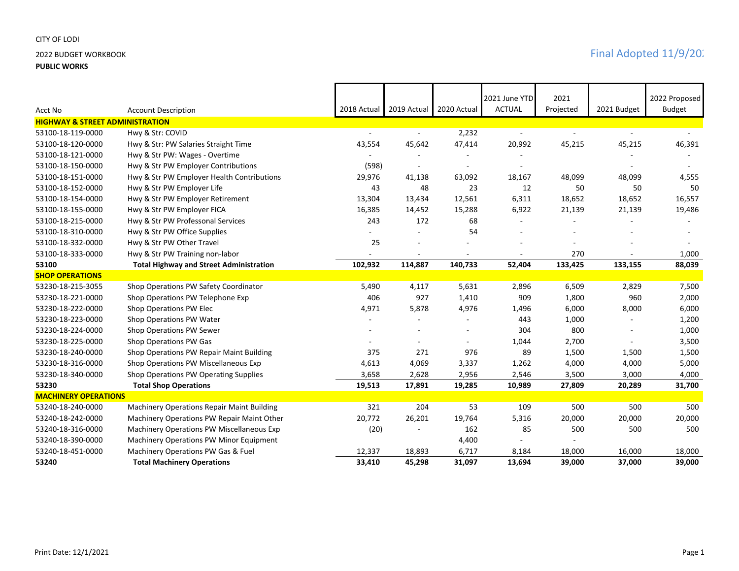## CITY OF LODI

### **PUBLIC WORKS**

|                                            |                                                   |             |                |                          | 2021 June YTD | 2021      |             | 2022 Proposed |
|--------------------------------------------|---------------------------------------------------|-------------|----------------|--------------------------|---------------|-----------|-------------|---------------|
| Acct No                                    | <b>Account Description</b>                        | 2018 Actual | 2019 Actual    | 2020 Actual              | <b>ACTUAL</b> | Projected | 2021 Budget | <b>Budget</b> |
| <b>HIGHWAY &amp; STREET ADMINISTRATION</b> |                                                   |             |                |                          |               |           |             |               |
| 53100-18-119-0000                          | Hwy & Str: COVID                                  |             | $\blacksquare$ | 2,232                    | $\sim$        |           |             |               |
| 53100-18-120-0000                          | Hwy & Str: PW Salaries Straight Time              | 43,554      | 45,642         | 47,414                   | 20,992        | 45,215    | 45,215      | 46,391        |
| 53100-18-121-0000                          | Hwy & Str PW: Wages - Overtime                    |             |                |                          |               |           |             |               |
| 53100-18-150-0000                          | Hwy & Str PW Employer Contributions               | (598)       |                |                          |               |           |             |               |
| 53100-18-151-0000                          | Hwy & Str PW Employer Health Contributions        | 29,976      | 41,138         | 63,092                   | 18,167        | 48,099    | 48,099      | 4,555         |
| 53100-18-152-0000                          | Hwy & Str PW Employer Life                        | 43          | 48             | 23                       | 12            | 50        | 50          | 50            |
| 53100-18-154-0000                          | Hwy & Str PW Employer Retirement                  | 13,304      | 13,434         | 12,561                   | 6,311         | 18,652    | 18,652      | 16,557        |
| 53100-18-155-0000                          | Hwy & Str PW Employer FICA                        | 16,385      | 14,452         | 15,288                   | 6,922         | 21,139    | 21,139      | 19,486        |
| 53100-18-215-0000                          | Hwy & Str PW Professonal Services                 | 243         | 172            | 68                       | ٠             |           |             |               |
| 53100-18-310-0000                          | Hwy & Str PW Office Supplies                      |             |                | 54                       |               |           |             |               |
| 53100-18-332-0000                          | Hwy & Str PW Other Travel                         | 25          |                |                          |               |           |             |               |
| 53100-18-333-0000                          | Hwy & Str PW Training non-labor                   |             |                |                          |               | 270       |             | 1,000         |
| 53100                                      | <b>Total Highway and Street Administration</b>    | 102,932     | 114,887        | 140,733                  | 52,404        | 133,425   | 133,155     | 88,039        |
| <b>SHOP OPERATIONS</b>                     |                                                   |             |                |                          |               |           |             |               |
| 53230-18-215-3055                          | Shop Operations PW Safety Coordinator             | 5,490       | 4,117          | 5,631                    | 2,896         | 6,509     | 2,829       | 7,500         |
| 53230-18-221-0000                          | Shop Operations PW Telephone Exp                  | 406         | 927            | 1,410                    | 909           | 1,800     | 960         | 2,000         |
| 53230-18-222-0000                          | Shop Operations PW Elec                           | 4,971       | 5,878          | 4,976                    | 1,496         | 6,000     | 8,000       | 6,000         |
| 53230-18-223-0000                          | Shop Operations PW Water                          |             |                |                          | 443           | 1,000     |             | 1,200         |
| 53230-18-224-0000                          | Shop Operations PW Sewer                          |             |                |                          | 304           | 800       |             | 1,000         |
| 53230-18-225-0000                          | Shop Operations PW Gas                            |             | $\sim$         | $\overline{\phantom{0}}$ | 1,044         | 2,700     |             | 3,500         |
| 53230-18-240-0000                          | Shop Operations PW Repair Maint Building          | 375         | 271            | 976                      | 89            | 1,500     | 1,500       | 1,500         |
| 53230-18-316-0000                          | Shop Operations PW Miscellaneous Exp              | 4,613       | 4,069          | 3,337                    | 1,262         | 4,000     | 4,000       | 5,000         |
| 53230-18-340-0000                          | Shop Operations PW Operating Supplies             | 3,658       | 2,628          | 2,956                    | 2,546         | 3,500     | 3,000       | 4,000         |
| 53230                                      | <b>Total Shop Operations</b>                      | 19,513      | 17,891         | 19,285                   | 10,989        | 27,809    | 20,289      | 31,700        |
| <b>MACHINERY OPERATIONS</b>                |                                                   |             |                |                          |               |           |             |               |
| 53240-18-240-0000                          | <b>Machinery Operations Repair Maint Building</b> | 321         | 204            | 53                       | 109           | 500       | 500         | 500           |
| 53240-18-242-0000                          | Machinery Operations PW Repair Maint Other        | 20,772      | 26,201         | 19,764                   | 5,316         | 20,000    | 20,000      | 20,000        |
| 53240-18-316-0000                          | Machinery Operations PW Miscellaneous Exp         | (20)        |                | 162                      | 85            | 500       | 500         | 500           |
| 53240-18-390-0000                          | Machinery Operations PW Minor Equipment           |             |                | 4,400                    |               |           |             |               |
| 53240-18-451-0000                          | Machinery Operations PW Gas & Fuel                | 12,337      | 18,893         | 6,717                    | 8,184         | 18,000    | 16,000      | 18,000        |
| 53240                                      | <b>Total Machinery Operations</b>                 | 33.410      | 45,298         | 31,097                   | 13,694        | 39.000    | 37,000      | 39,000        |